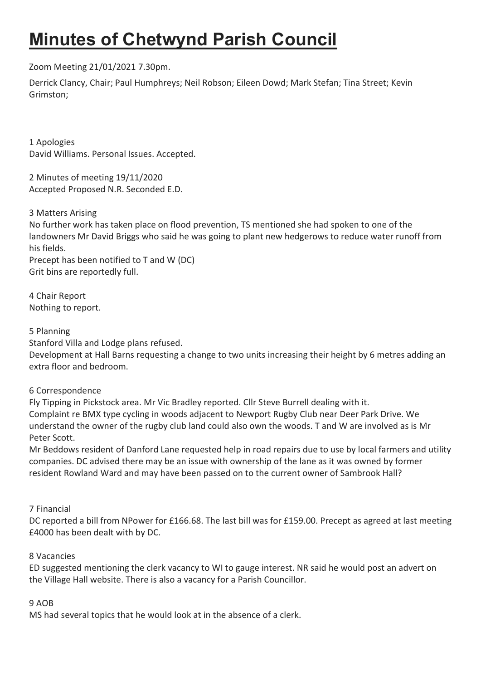# Minutes of Chetwynd Parish Council

## Zoom Meeting 21/01/2021 7.30pm.

Derrick Clancy, Chair; Paul Humphreys; Neil Robson; Eileen Dowd; Mark Stefan; Tina Street; Kevin Grimston;

1 Apologies David Williams. Personal Issues. Accepted.

2 Minutes of meeting 19/11/2020 Accepted Proposed N.R. Seconded E.D.

3 Matters Arising

No further work has taken place on flood prevention, TS mentioned she had spoken to one of the landowners Mr David Briggs who said he was going to plant new hedgerows to reduce water runoff from his fields.

Precept has been notified to T and W (DC) Grit bins are reportedly full.

4 Chair Report Nothing to report.

5 Planning

Stanford Villa and Lodge plans refused.

Development at Hall Barns requesting a change to two units increasing their height by 6 metres adding an extra floor and bedroom.

### 6 Correspondence

Fly Tipping in Pickstock area. Mr Vic Bradley reported. Cllr Steve Burrell dealing with it. Complaint re BMX type cycling in woods adjacent to Newport Rugby Club near Deer Park Drive. We understand the owner of the rugby club land could also own the woods. T and W are involved as is Mr Peter Scott.

Mr Beddows resident of Danford Lane requested help in road repairs due to use by local farmers and utility companies. DC advised there may be an issue with ownership of the lane as it was owned by former resident Rowland Ward and may have been passed on to the current owner of Sambrook Hall?

### 7 Financial

DC reported a bill from NPower for £166.68. The last bill was for £159.00. Precept as agreed at last meeting £4000 has been dealt with by DC.

### 8 Vacancies

ED suggested mentioning the clerk vacancy to WI to gauge interest. NR said he would post an advert on the Village Hall website. There is also a vacancy for a Parish Councillor.

#### 9 AOB

MS had several topics that he would look at in the absence of a clerk.